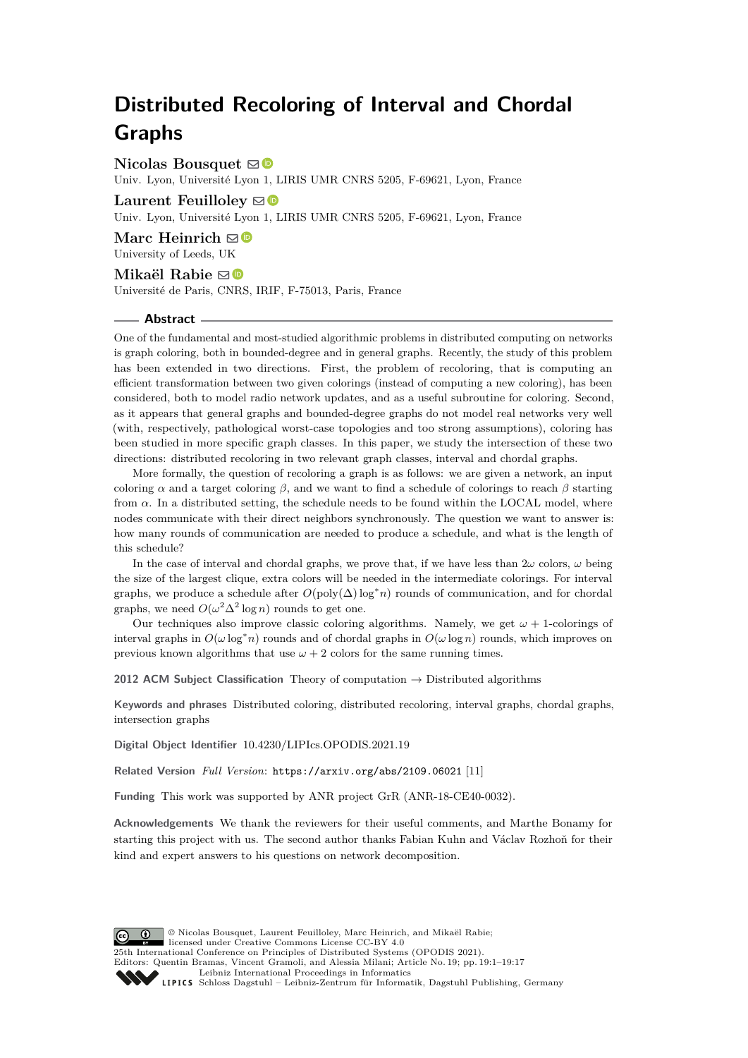# **Distributed Recoloring of Interval and Chordal Graphs**

## **Nicolas Bousquet** [!](mailto:nicolas.bousquet@univ-lyon1.fr)

Univ. Lyon, Université Lyon 1, LIRIS UMR CNRS 5205, F-69621, Lyon, France

## Laurent Feuilloley **⊠**

Univ. Lyon, Université Lyon 1, LIRIS UMR CNRS 5205, F-69621, Lyon, France

**Marc Heinrich** ⊠<sup>®</sup> University of Leeds, UK

## **Mikaël Rabie** [!](mailto:mikael.rabie@irif.fr)

Université de Paris, CNRS, IRIF, F-75013, Paris, France

#### **Abstract**

One of the fundamental and most-studied algorithmic problems in distributed computing on networks is graph coloring, both in bounded-degree and in general graphs. Recently, the study of this problem has been extended in two directions. First, the problem of recoloring, that is computing an efficient transformation between two given colorings (instead of computing a new coloring), has been considered, both to model radio network updates, and as a useful subroutine for coloring. Second, as it appears that general graphs and bounded-degree graphs do not model real networks very well (with, respectively, pathological worst-case topologies and too strong assumptions), coloring has been studied in more specific graph classes. In this paper, we study the intersection of these two directions: distributed recoloring in two relevant graph classes, interval and chordal graphs.

More formally, the question of recoloring a graph is as follows: we are given a network, an input coloring *α* and a target coloring *β*, and we want to find a schedule of colorings to reach *β* starting from *α*. In a distributed setting, the schedule needs to be found within the LOCAL model, where nodes communicate with their direct neighbors synchronously. The question we want to answer is: how many rounds of communication are needed to produce a schedule, and what is the length of this schedule?

In the case of interval and chordal graphs, we prove that, if we have less than  $2\omega$  colors,  $\omega$  being the size of the largest clique, extra colors will be needed in the intermediate colorings. For interval graphs, we produce a schedule after  $O(poly(\Delta) \log^* n)$  rounds of communication, and for chordal graphs, we need  $O(\omega^2 \Delta^2 \log n)$  rounds to get one.

Our techniques also improve classic coloring algorithms. Namely, we get  $\omega + 1$ -colorings of interval graphs in  $O(\omega \log^* n)$  rounds and of chordal graphs in  $O(\omega \log n)$  rounds, which improves on previous known algorithms that use  $\omega + 2$  colors for the same running times.

**2012 ACM Subject Classification** Theory of computation → Distributed algorithms

**Keywords and phrases** Distributed coloring, distributed recoloring, interval graphs, chordal graphs, intersection graphs

**Digital Object Identifier** [10.4230/LIPIcs.OPODIS.2021.19](https://doi.org/10.4230/LIPIcs.OPODIS.2021.19)

**Related Version** *Full Version*: <https://arxiv.org/abs/2109.06021> [\[11\]](#page-15-0)

**Funding** This work was supported by ANR project GrR (ANR-18-CE40-0032).

**Acknowledgements** We thank the reviewers for their useful comments, and Marthe Bonamy for starting this project with us. The second author thanks Fabian Kuhn and Václav Rozhoň for their kind and expert answers to his questions on network decomposition.



licensed under Creative Commons License CC-BY 4.0 25th International Conference on Principles of Distributed Systems (OPODIS 2021). Editors: Quentin Bramas, Vincent Gramoli, and Alessia Milani; Article No. 19; pp. 19:1–19:17 [Leibniz International Proceedings in Informatics](https://www.dagstuhl.de/lipics/) [Schloss Dagstuhl – Leibniz-Zentrum für Informatik, Dagstuhl Publishing, Germany](https://www.dagstuhl.de)

© Nicolas Bousquet, Laurent Feuilloley, Marc Heinrich, and Mikaël Rabie;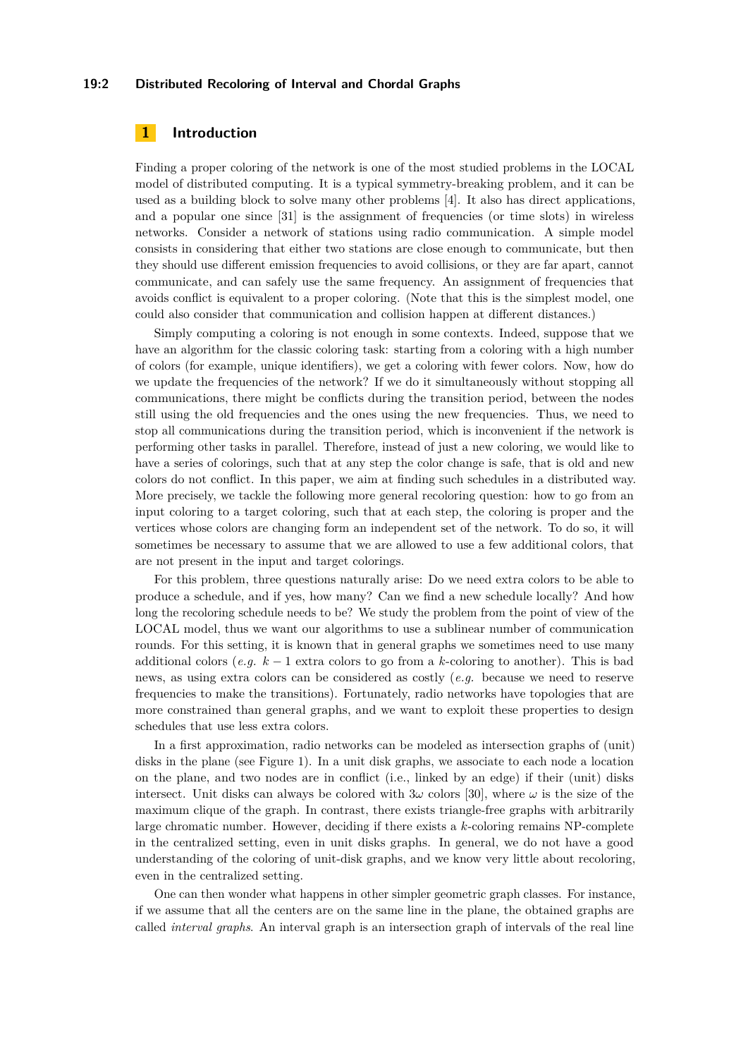#### **19:2 Distributed Recoloring of Interval and Chordal Graphs**

# **1 Introduction**

Finding a proper coloring of the network is one of the most studied problems in the LOCAL model of distributed computing. It is a typical symmetry-breaking problem, and it can be used as a building block to solve many other problems [\[4\]](#page-15-1). It also has direct applications, and a popular one since [\[31\]](#page-16-0) is the assignment of frequencies (or time slots) in wireless networks. Consider a network of stations using radio communication. A simple model consists in considering that either two stations are close enough to communicate, but then they should use different emission frequencies to avoid collisions, or they are far apart, cannot communicate, and can safely use the same frequency. An assignment of frequencies that avoids conflict is equivalent to a proper coloring. (Note that this is the simplest model, one could also consider that communication and collision happen at different distances.)

Simply computing a coloring is not enough in some contexts. Indeed, suppose that we have an algorithm for the classic coloring task: starting from a coloring with a high number of colors (for example, unique identifiers), we get a coloring with fewer colors. Now, how do we update the frequencies of the network? If we do it simultaneously without stopping all communications, there might be conflicts during the transition period, between the nodes still using the old frequencies and the ones using the new frequencies. Thus, we need to stop all communications during the transition period, which is inconvenient if the network is performing other tasks in parallel. Therefore, instead of just a new coloring, we would like to have a series of colorings, such that at any step the color change is safe, that is old and new colors do not conflict. In this paper, we aim at finding such schedules in a distributed way. More precisely, we tackle the following more general recoloring question: how to go from an input coloring to a target coloring, such that at each step, the coloring is proper and the vertices whose colors are changing form an independent set of the network. To do so, it will sometimes be necessary to assume that we are allowed to use a few additional colors, that are not present in the input and target colorings.

For this problem, three questions naturally arise: Do we need extra colors to be able to produce a schedule, and if yes, how many? Can we find a new schedule locally? And how long the recoloring schedule needs to be? We study the problem from the point of view of the LOCAL model, thus we want our algorithms to use a sublinear number of communication rounds. For this setting, it is known that in general graphs we sometimes need to use many additional colors (*e.g. k* − 1 extra colors to go from a *k*-coloring to another). This is bad news, as using extra colors can be considered as costly (*e.g.* because we need to reserve frequencies to make the transitions). Fortunately, radio networks have topologies that are more constrained than general graphs, and we want to exploit these properties to design schedules that use less extra colors.

In a first approximation, radio networks can be modeled as intersection graphs of (unit) disks in the plane (see Figure [1\)](#page-2-0). In a unit disk graphs, we associate to each node a location on the plane, and two nodes are in conflict (i.e., linked by an edge) if their (unit) disks intersect. Unit disks can always be colored with  $3\omega$  colors [\[30\]](#page-16-1), where  $\omega$  is the size of the maximum clique of the graph. In contrast, there exists triangle-free graphs with arbitrarily large chromatic number. However, deciding if there exists a *k*-coloring remains NP-complete in the centralized setting, even in unit disks graphs. In general, we do not have a good understanding of the coloring of unit-disk graphs, and we know very little about recoloring, even in the centralized setting.

One can then wonder what happens in other simpler geometric graph classes. For instance, if we assume that all the centers are on the same line in the plane, the obtained graphs are called *interval graphs*. An interval graph is an intersection graph of intervals of the real line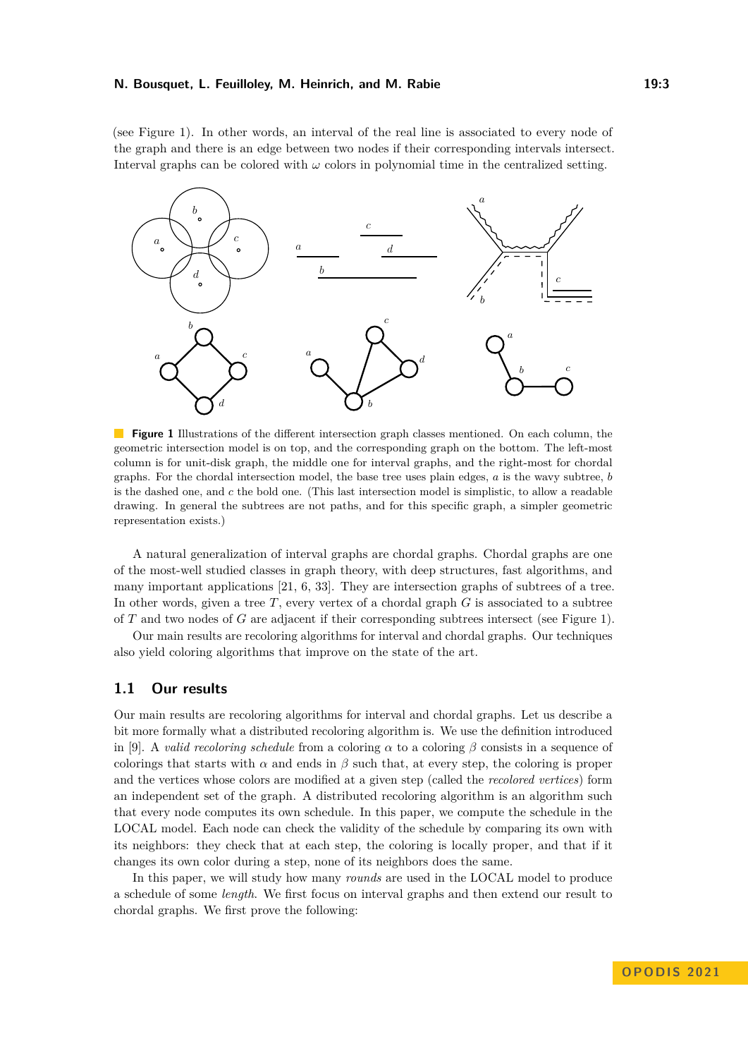(see Figure [1\)](#page-2-0). In other words, an interval of the real line is associated to every node of the graph and there is an edge between two nodes if their corresponding intervals intersect. Interval graphs can be colored with  $\omega$  colors in polynomial time in the centralized setting.

<span id="page-2-0"></span>

**Figure 1** Illustrations of the different intersection graph classes mentioned. On each column, the geometric intersection model is on top, and the corresponding graph on the bottom. The left-most column is for unit-disk graph, the middle one for interval graphs, and the right-most for chordal graphs. For the chordal intersection model, the base tree uses plain edges, *a* is the wavy subtree, *b* is the dashed one, and *c* the bold one. (This last intersection model is simplistic, to allow a readable drawing. In general the subtrees are not paths, and for this specific graph, a simpler geometric representation exists.)

A natural generalization of interval graphs are chordal graphs. Chordal graphs are one of the most-well studied classes in graph theory, with deep structures, fast algorithms, and many important applications [\[21,](#page-16-2) [6,](#page-15-2) [33\]](#page-16-3). They are intersection graphs of subtrees of a tree. In other words, given a tree *T*, every vertex of a chordal graph *G* is associated to a subtree of *T* and two nodes of *G* are adjacent if their corresponding subtrees intersect (see Figure [1\)](#page-2-0).

Our main results are recoloring algorithms for interval and chordal graphs. Our techniques also yield coloring algorithms that improve on the state of the art.

## **1.1 Our results**

Our main results are recoloring algorithms for interval and chordal graphs. Let us describe a bit more formally what a distributed recoloring algorithm is. We use the definition introduced in [\[9\]](#page-15-3). A *valid recoloring schedule* from a coloring  $\alpha$  to a coloring  $\beta$  consists in a sequence of colorings that starts with  $\alpha$  and ends in  $\beta$  such that, at every step, the coloring is proper and the vertices whose colors are modified at a given step (called the *recolored vertices*) form an independent set of the graph. A distributed recoloring algorithm is an algorithm such that every node computes its own schedule. In this paper, we compute the schedule in the LOCAL model. Each node can check the validity of the schedule by comparing its own with its neighbors: they check that at each step, the coloring is locally proper, and that if it changes its own color during a step, none of its neighbors does the same.

In this paper, we will study how many *rounds* are used in the LOCAL model to produce a schedule of some *length*. We first focus on interval graphs and then extend our result to chordal graphs. We first prove the following: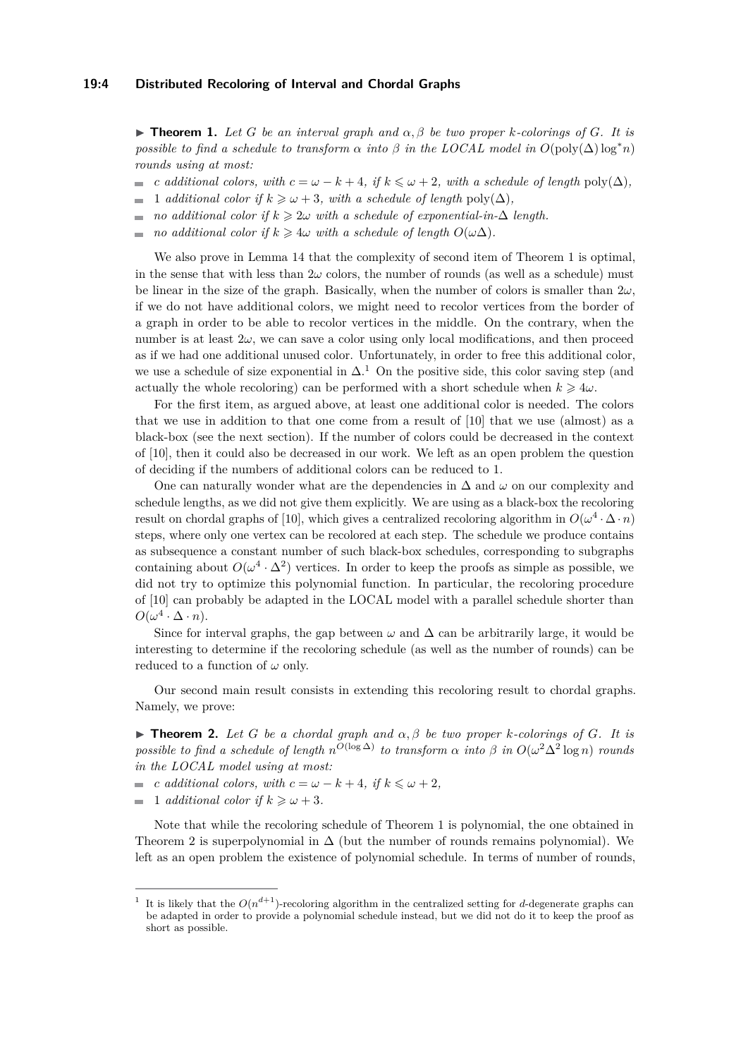<span id="page-3-0"></span> $\blacktriangleright$  **Theorem 1.** Let G be an interval graph and  $\alpha$ ,  $\beta$  be two proper *k*-colorings of G. It is *possible to find a schedule to transform*  $\alpha$  *into*  $\beta$  *in the LOCAL model in*  $O(\text{poly}(\Delta) \log^* n)$ *rounds using at most:*

- *c additional colors, with*  $c = \omega k + 4$ *, if*  $k \leq \omega + 2$ *, with a schedule of length* poly( $\Delta$ )*,*
- 1 *additional color if*  $k \geq \omega + 3$ *, with a schedule of length* poly( $\Delta$ )*,*  $\overline{a}$
- *no additional color if*  $k \geq 2\omega$  *with a schedule of exponential-in-* $\Delta$  *length.*  $\overline{a}$
- *no additional color if*  $k \geq 4\omega$  *with a schedule of length*  $O(\omega\Delta)$ *.*  $\overline{a}$

We also prove in Lemma [14](#page-11-0) that the complexity of second item of Theorem [1](#page-3-0) is optimal, in the sense that with less than  $2\omega$  colors, the number of rounds (as well as a schedule) must be linear in the size of the graph. Basically, when the number of colors is smaller than  $2\omega$ , if we do not have additional colors, we might need to recolor vertices from the border of a graph in order to be able to recolor vertices in the middle. On the contrary, when the number is at least  $2\omega$ , we can save a color using only local modifications, and then proceed as if we had one additional unused color. Unfortunately, in order to free this additional color, we use a schedule of size exponential in  $\Delta$ .<sup>[1](#page-3-1)</sup> On the positive side, this color saving step (and actually the whole recoloring) can be performed with a short schedule when  $k \geq 4\omega$ .

For the first item, as argued above, at least one additional color is needed. The colors that we use in addition to that one come from a result of [\[10\]](#page-15-4) that we use (almost) as a black-box (see the next section). If the number of colors could be decreased in the context of [\[10\]](#page-15-4), then it could also be decreased in our work. We left as an open problem the question of deciding if the numbers of additional colors can be reduced to 1.

One can naturally wonder what are the dependencies in ∆ and *ω* on our complexity and schedule lengths, as we did not give them explicitly. We are using as a black-box the recoloring result on chordal graphs of [\[10\]](#page-15-4), which gives a centralized recoloring algorithm in  $O(\omega^4 \cdot \Delta \cdot n)$ steps, where only one vertex can be recolored at each step. The schedule we produce contains as subsequence a constant number of such black-box schedules, corresponding to subgraphs containing about  $O(\omega^4 \cdot \Delta^2)$  vertices. In order to keep the proofs as simple as possible, we did not try to optimize this polynomial function. In particular, the recoloring procedure of [\[10\]](#page-15-4) can probably be adapted in the LOCAL model with a parallel schedule shorter than  $O(\omega^4 \cdot \Delta \cdot n).$ 

Since for interval graphs, the gap between  $\omega$  and  $\Delta$  can be arbitrarily large, it would be interesting to determine if the recoloring schedule (as well as the number of rounds) can be reduced to a function of  $\omega$  only.

Our second main result consists in extending this recoloring result to chordal graphs. Namely, we prove:

<span id="page-3-2"></span> $\blacktriangleright$  **Theorem 2.** Let G be a chordal graph and  $\alpha, \beta$  be two proper *k*-colorings of G. It is *possible to find a schedule of length*  $n^{O(\log \Delta)}$  *to transform*  $\alpha$  *into*  $\beta$  *in*  $O(\omega^2 \Delta^2 \log n)$  *rounds in the LOCAL model using at most:*

- *c additional colors, with*  $c = \omega k + 4$ *, if*  $k \leq \omega + 2$ *,*  $\overline{\phantom{a}}$
- $\overline{a}$ 1 *additional color if*  $k \geq \omega + 3$ .

Note that while the recoloring schedule of Theorem [1](#page-3-0) is polynomial, the one obtained in Theorem [2](#page-3-2) is superpolynomial in  $\Delta$  (but the number of rounds remains polynomial). We left as an open problem the existence of polynomial schedule. In terms of number of rounds,

<span id="page-3-1"></span><sup>1</sup> It is likely that the  $O(n^{d+1})$ -recoloring algorithm in the centralized setting for *d*-degenerate graphs can be adapted in order to provide a polynomial schedule instead, but we did not do it to keep the proof as short as possible.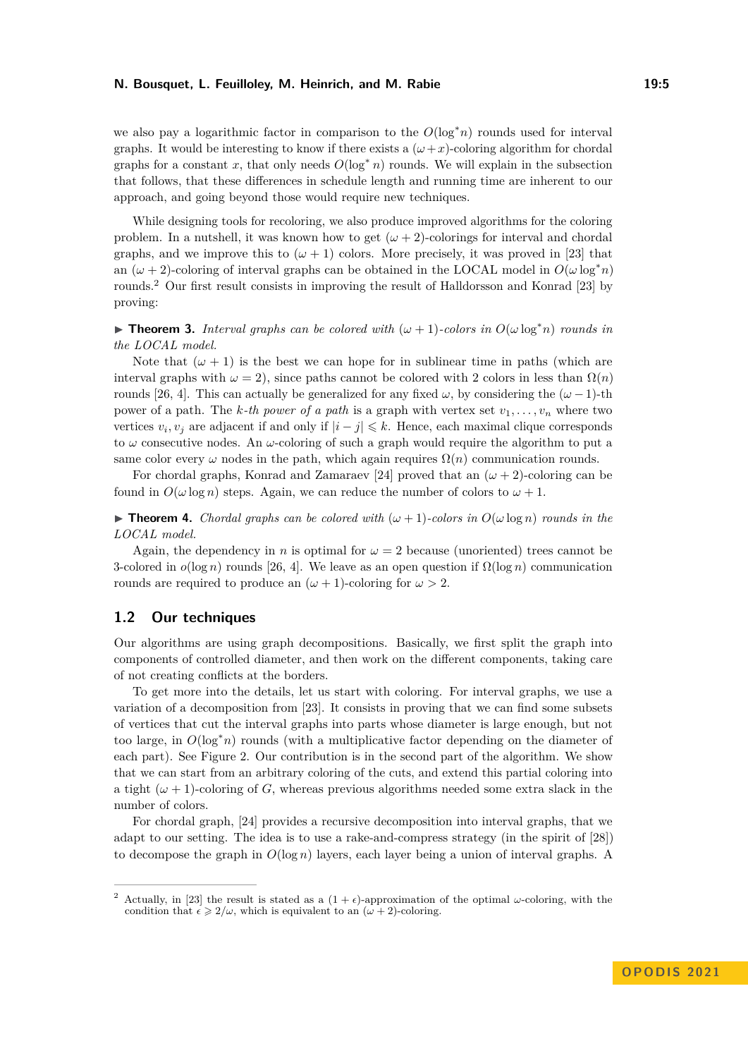we also pay a logarithmic factor in comparison to the *O*(log<sup>∗</sup>*n*) rounds used for interval graphs. It would be interesting to know if there exists a  $(\omega + x)$ -coloring algorithm for chordal graphs for a constant x, that only needs  $O(\log^* n)$  rounds. We will explain in the subsection that follows, that these differences in schedule length and running time are inherent to our approach, and going beyond those would require new techniques.

While designing tools for recoloring, we also produce improved algorithms for the coloring problem. In a nutshell, it was known how to get  $(\omega + 2)$ -colorings for interval and chordal graphs, and we improve this to  $(\omega + 1)$  colors. More precisely, it was proved in [\[23\]](#page-16-4) that an  $(\omega + 2)$ -coloring of interval graphs can be obtained in the LOCAL model in  $O(\omega \log^* n)$ rounds.[2](#page-4-0) Our first result consists in improving the result of Halldorsson and Konrad [\[23\]](#page-16-4) by proving:

<span id="page-4-1"></span>▶ **Theorem 3.** *Interval graphs can be colored with*  $(\omega + 1)$ *-colors in*  $O(\omega \log^* n)$  *rounds in the LOCAL model.*

Note that  $(\omega + 1)$  is the best we can hope for in sublinear time in paths (which are interval graphs with  $\omega = 2$ ), since paths cannot be colored with 2 colors in less than  $\Omega(n)$ rounds [\[26,](#page-16-5) [4\]](#page-15-1). This can actually be generalized for any fixed  $\omega$ , by considering the  $(\omega - 1)$ -th power of a path. The *k*-th power of a path is a graph with vertex set  $v_1, \ldots, v_n$  where two vertices  $v_i, v_j$  are adjacent if and only if  $|i - j| \leq k$ . Hence, each maximal clique corresponds to *ω* consecutive nodes. An *ω*-coloring of such a graph would require the algorithm to put a same color every  $\omega$  nodes in the path, which again requires  $\Omega(n)$  communication rounds.

For chordal graphs, Konrad and Zamaraev [\[24\]](#page-16-6) proved that an  $(\omega + 2)$ -coloring can be found in  $O(\omega \log n)$  steps. Again, we can reduce the number of colors to  $\omega + 1$ .

<span id="page-4-2"></span> $\triangleright$  **Theorem 4.** *Chordal graphs can be colored with*  $(\omega + 1)$ *-colors in*  $O(\omega \log n)$  *rounds in the LOCAL model.*

Again, the dependency in *n* is optimal for  $\omega = 2$  because (unoriented) trees cannot be 3-colored in  $o(\log n)$  rounds [\[26,](#page-16-5) [4\]](#page-15-1). We leave as an open question if  $\Omega(\log n)$  communication rounds are required to produce an  $(\omega + 1)$ -coloring for  $\omega > 2$ .

## **1.2 Our techniques**

Our algorithms are using graph decompositions. Basically, we first split the graph into components of controlled diameter, and then work on the different components, taking care of not creating conflicts at the borders.

To get more into the details, let us start with coloring. For interval graphs, we use a variation of a decomposition from [\[23\]](#page-16-4). It consists in proving that we can find some subsets of vertices that cut the interval graphs into parts whose diameter is large enough, but not too large, in *O*(log<sup>∗</sup>*n*) rounds (with a multiplicative factor depending on the diameter of each part). See Figure [2.](#page-5-0) Our contribution is in the second part of the algorithm. We show that we can start from an arbitrary coloring of the cuts, and extend this partial coloring into a tight  $(\omega + 1)$ -coloring of *G*, whereas previous algorithms needed some extra slack in the number of colors.

For chordal graph, [\[24\]](#page-16-6) provides a recursive decomposition into interval graphs, that we adapt to our setting. The idea is to use a rake-and-compress strategy (in the spirit of [\[28\]](#page-16-7)) to decompose the graph in  $O(\log n)$  layers, each layer being a union of interval graphs. A

<span id="page-4-0"></span>Actually, in [\[23\]](#page-16-4) the result is stated as a  $(1 + \epsilon)$ -approximation of the optimal *ω*-coloring, with the condition that  $\epsilon \geq 2/\omega$ , which is equivalent to an  $(\omega + 2)$ -coloring.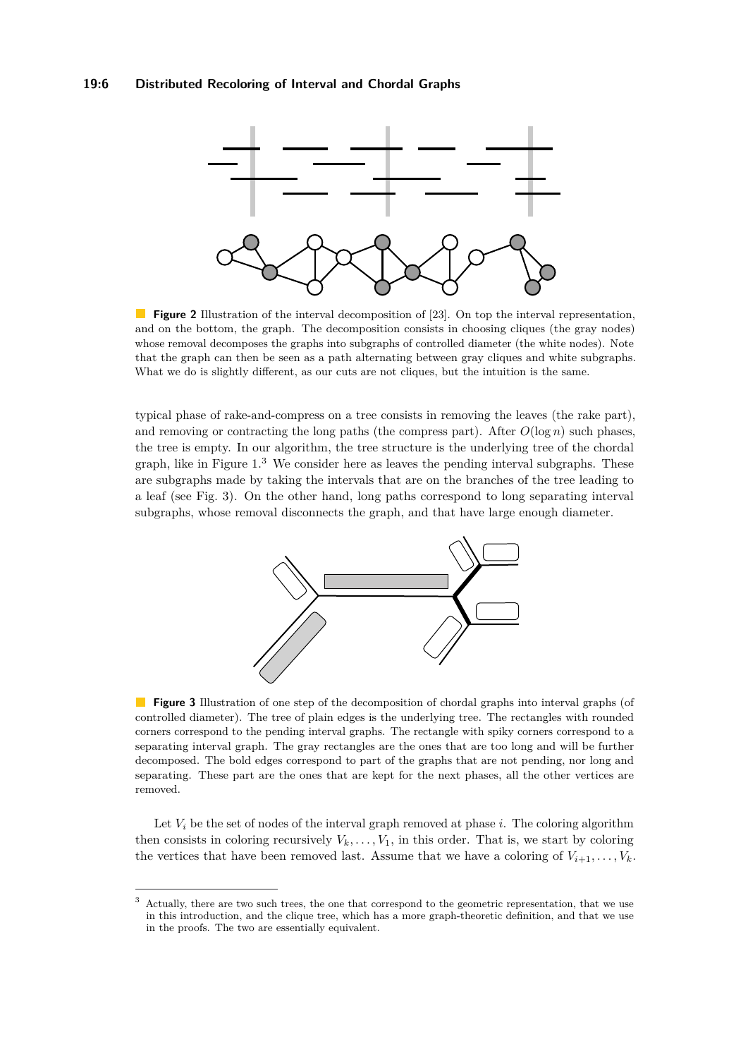<span id="page-5-0"></span>

**Figure 2** Illustration of the interval decomposition of [\[23\]](#page-16-4). On top the interval representation, and on the bottom, the graph. The decomposition consists in choosing cliques (the gray nodes) whose removal decomposes the graphs into subgraphs of controlled diameter (the white nodes). Note that the graph can then be seen as a path alternating between gray cliques and white subgraphs. What we do is slightly different, as our cuts are not cliques, but the intuition is the same.

typical phase of rake-and-compress on a tree consists in removing the leaves (the rake part), and removing or contracting the long paths (the compress part). After  $O(\log n)$  such phases, the tree is empty. In our algorithm, the tree structure is the underlying tree of the chordal graph, like in Figure  $1<sup>3</sup>$  $1<sup>3</sup>$  $1<sup>3</sup>$  We consider here as leaves the pending interval subgraphs. These are subgraphs made by taking the intervals that are on the branches of the tree leading to a leaf (see Fig. [3\)](#page-5-2). On the other hand, long paths correspond to long separating interval subgraphs, whose removal disconnects the graph, and that have large enough diameter.

<span id="page-5-2"></span>

**Figure 3** Illustration of one step of the decomposition of chordal graphs into interval graphs (of controlled diameter). The tree of plain edges is the underlying tree. The rectangles with rounded corners correspond to the pending interval graphs. The rectangle with spiky corners correspond to a separating interval graph. The gray rectangles are the ones that are too long and will be further decomposed. The bold edges correspond to part of the graphs that are not pending, nor long and separating. These part are the ones that are kept for the next phases, all the other vertices are removed.

Let  $V_i$  be the set of nodes of the interval graph removed at phase  $i$ . The coloring algorithm then consists in coloring recursively  $V_k, \ldots, V_1$ , in this order. That is, we start by coloring the vertices that have been removed last. Assume that we have a coloring of  $V_{i+1}, \ldots, V_k$ .

<span id="page-5-1"></span> $3$  Actually, there are two such trees, the one that correspond to the geometric representation, that we use in this introduction, and the clique tree, which has a more graph-theoretic definition, and that we use in the proofs. The two are essentially equivalent.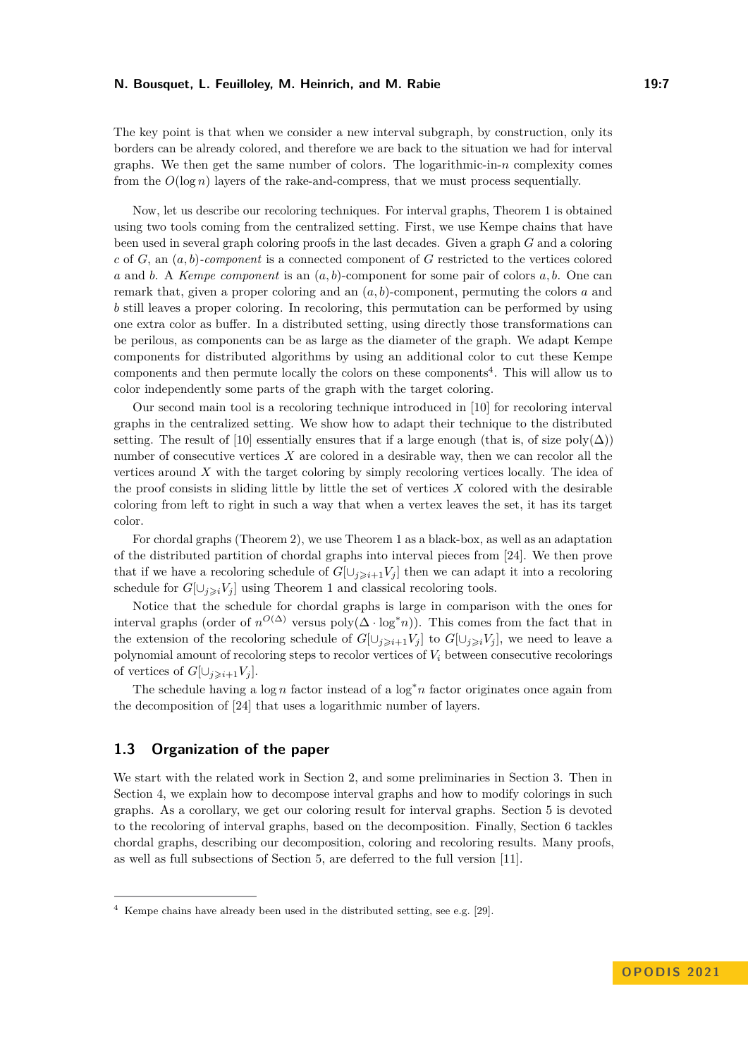The key point is that when we consider a new interval subgraph, by construction, only its borders can be already colored, and therefore we are back to the situation we had for interval graphs. We then get the same number of colors. The logarithmic-in- $n$  complexity comes from the  $O(\log n)$  layers of the rake-and-compress, that we must process sequentially.

Now, let us describe our recoloring techniques. For interval graphs, Theorem [1](#page-3-0) is obtained using two tools coming from the centralized setting. First, we use Kempe chains that have been used in several graph coloring proofs in the last decades. Given a graph *G* and a coloring *c* of *G*, an (*a, b*)*-component* is a connected component of *G* restricted to the vertices colored *a* and *b*. A *Kempe component* is an (*a, b*)-component for some pair of colors *a, b*. One can remark that, given a proper coloring and an (*a, b*)-component, permuting the colors *a* and *b* still leaves a proper coloring. In recoloring, this permutation can be performed by using one extra color as buffer. In a distributed setting, using directly those transformations can be perilous, as components can be as large as the diameter of the graph. We adapt Kempe components for distributed algorithms by using an additional color to cut these Kempe components and then permute locally the colors on these components<sup>[4](#page-6-0)</sup>. This will allow us to color independently some parts of the graph with the target coloring.

Our second main tool is a recoloring technique introduced in [\[10\]](#page-15-4) for recoloring interval graphs in the centralized setting. We show how to adapt their technique to the distributed setting. The result of [\[10\]](#page-15-4) essentially ensures that if a large enough (that is, of size  $poly(\Delta)$ ) number of consecutive vertices *X* are colored in a desirable way, then we can recolor all the vertices around *X* with the target coloring by simply recoloring vertices locally. The idea of the proof consists in sliding little by little the set of vertices *X* colored with the desirable coloring from left to right in such a way that when a vertex leaves the set, it has its target color.

For chordal graphs (Theorem [2\)](#page-3-2), we use Theorem [1](#page-3-0) as a black-box, as well as an adaptation of the distributed partition of chordal graphs into interval pieces from [\[24\]](#page-16-6). We then prove that if we have a recoloring schedule of  $G[\cup_{j\geq i+1}V_j]$  then we can adapt it into a recoloring schedule for  $G[\cup_{j\geqslant i}V_j]$  using Theorem [1](#page-3-0) and classical recoloring tools.

Notice that the schedule for chordal graphs is large in comparison with the ones for interval graphs (order of  $n^{O(\Delta)}$  versus poly $(\Delta \cdot \log^* n)$ ). This comes from the fact that in the extension of the recoloring schedule of  $G[\cup_{i\geq i+1} V_i]$  to  $G[\cup_{i\geq i} V_i]$ , we need to leave a polynomial amount of recoloring steps to recolor vertices of *V<sup>i</sup>* between consecutive recolorings of vertices of  $G[\cup_{i\geqslant i+1}V_i]$ .

The schedule having a log *n* factor instead of a log<sup>∗</sup>*n* factor originates once again from the decomposition of [\[24\]](#page-16-6) that uses a logarithmic number of layers.

# **1.3 Organization of the paper**

We start with the related work in Section [2,](#page-7-0) and some preliminaries in Section [3.](#page-8-0) Then in Section [4,](#page-10-0) we explain how to decompose interval graphs and how to modify colorings in such graphs. As a corollary, we get our coloring result for interval graphs. Section [5](#page-11-1) is devoted to the recoloring of interval graphs, based on the decomposition. Finally, Section [6](#page-13-0) tackles chordal graphs, describing our decomposition, coloring and recoloring results. Many proofs, as well as full subsections of Section [5,](#page-11-1) are deferred to the full version [\[11\]](#page-15-0).

<span id="page-6-0"></span><sup>4</sup> Kempe chains have already been used in the distributed setting, see e.g. [\[29\]](#page-16-8).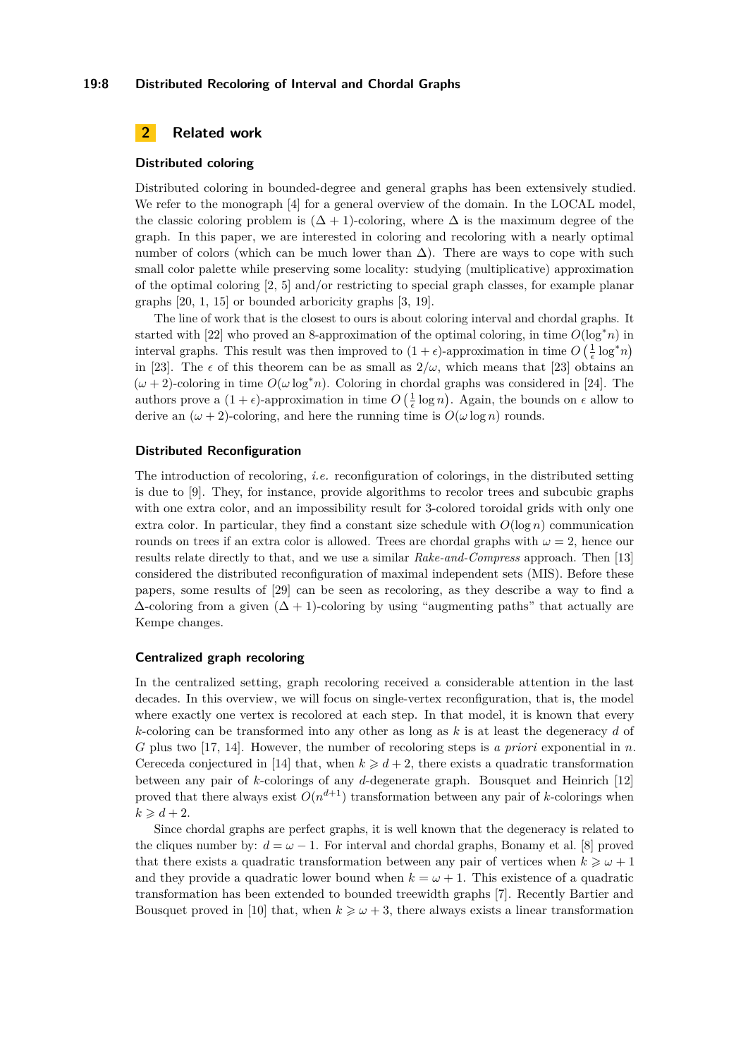#### **19:8 Distributed Recoloring of Interval and Chordal Graphs**

# <span id="page-7-0"></span>**2 Related work**

#### **Distributed coloring**

Distributed coloring in bounded-degree and general graphs has been extensively studied. We refer to the monograph [\[4\]](#page-15-1) for a general overview of the domain. In the LOCAL model, the classic coloring problem is  $(\Delta + 1)$ -coloring, where  $\Delta$  is the maximum degree of the graph. In this paper, we are interested in coloring and recoloring with a nearly optimal number of colors (which can be much lower than  $\Delta$ ). There are ways to cope with such small color palette while preserving some locality: studying (multiplicative) approximation of the optimal coloring [\[2,](#page-15-5) [5\]](#page-15-6) and/or restricting to special graph classes, for example planar graphs [\[20,](#page-16-9) [1,](#page-15-7) [15\]](#page-16-10) or bounded arboricity graphs [\[3,](#page-15-8) [19\]](#page-16-11).

The line of work that is the closest to ours is about coloring interval and chordal graphs. It started with [\[22\]](#page-16-12) who proved an 8-approximation of the optimal coloring, in time  $O(\log^* n)$  in interval graphs. This result was then improved to  $(1 + \epsilon)$ -approximation in time  $O\left(\frac{1}{\epsilon} \log^* n\right)$ in [\[23\]](#page-16-4). The  $\epsilon$  of this theorem can be as small as  $2/\omega$ , which means that [23] obtains an  $(\omega + 2)$ -coloring in time  $O(\omega \log^* n)$ . Coloring in chordal graphs was considered in [\[24\]](#page-16-6). The authors prove a  $(1 + \epsilon)$ -approximation in time  $O\left(\frac{1}{\epsilon} \log n\right)$ . Again, the bounds on  $\epsilon$  allow to derive an  $(\omega + 2)$ -coloring, and here the running time is  $O(\omega \log n)$  rounds.

#### **Distributed Reconfiguration**

The introduction of recoloring, *i.e.* reconfiguration of colorings, in the distributed setting is due to [\[9\]](#page-15-3). They, for instance, provide algorithms to recolor trees and subcubic graphs with one extra color, and an impossibility result for 3-colored toroidal grids with only one extra color. In particular, they find a constant size schedule with  $O(\log n)$  communication rounds on trees if an extra color is allowed. Trees are chordal graphs with  $\omega = 2$ , hence our results relate directly to that, and we use a similar *Rake-and-Compress* approach. Then [\[13\]](#page-16-13) considered the distributed reconfiguration of maximal independent sets (MIS). Before these papers, some results of [\[29\]](#page-16-8) can be seen as recoloring, as they describe a way to find a  $\Delta$ -coloring from a given  $(\Delta + 1)$ -coloring by using "augmenting paths" that actually are Kempe changes.

#### **Centralized graph recoloring**

In the centralized setting, graph recoloring received a considerable attention in the last decades. In this overview, we will focus on single-vertex reconfiguration, that is, the model where exactly one vertex is recolored at each step. In that model, it is known that every *k*-coloring can be transformed into any other as long as *k* is at least the degeneracy *d* of *G* plus two [\[17,](#page-16-14) [14\]](#page-16-15). However, the number of recoloring steps is *a priori* exponential in *n*. Cereceda conjectured in [\[14\]](#page-16-15) that, when  $k \geq d+2$ , there exists a quadratic transformation between any pair of *k*-colorings of any *d*-degenerate graph. Bousquet and Heinrich [\[12\]](#page-16-16) proved that there always exist  $O(n^{d+1})$  transformation between any pair of *k*-colorings when  $k \geqslant d+2$ .

Since chordal graphs are perfect graphs, it is well known that the degeneracy is related to the cliques number by:  $d = \omega - 1$ . For interval and chordal graphs, Bonamy et al. [\[8\]](#page-15-9) proved that there exists a quadratic transformation between any pair of vertices when  $k \geq \omega + 1$ and they provide a quadratic lower bound when  $k = \omega + 1$ . This existence of a quadratic transformation has been extended to bounded treewidth graphs [\[7\]](#page-15-10). Recently Bartier and Bousquet proved in [\[10\]](#page-15-4) that, when  $k \geq \omega + 3$ , there always exists a linear transformation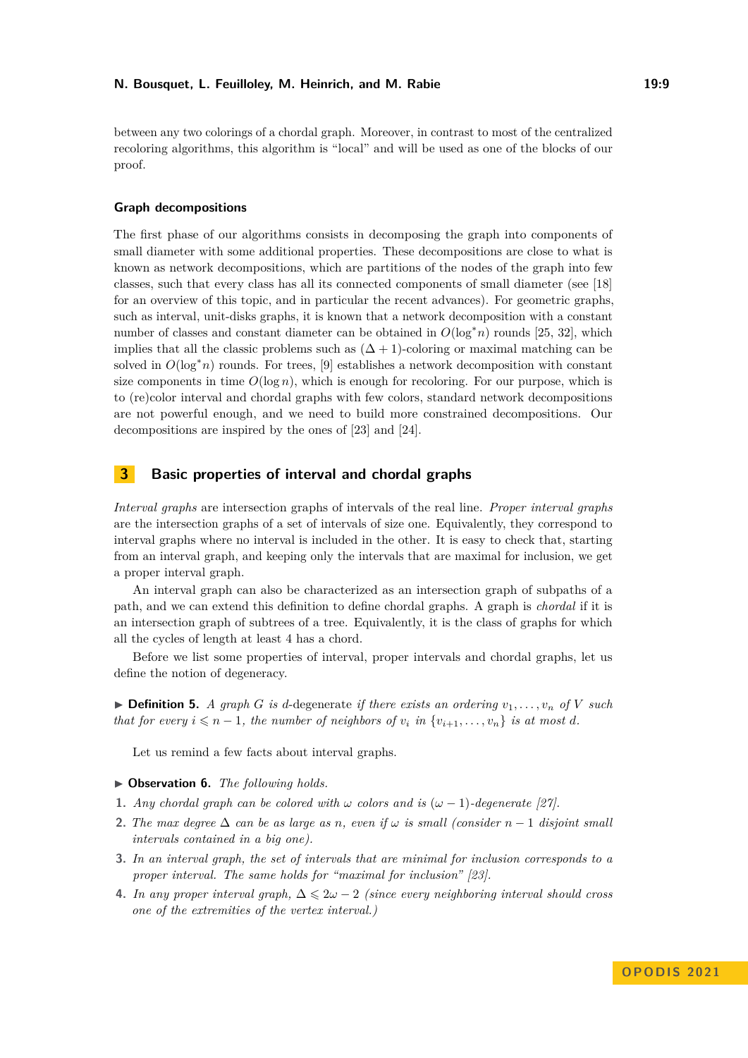between any two colorings of a chordal graph. Moreover, in contrast to most of the centralized recoloring algorithms, this algorithm is "local" and will be used as one of the blocks of our proof.

#### **Graph decompositions**

The first phase of our algorithms consists in decomposing the graph into components of small diameter with some additional properties. These decompositions are close to what is known as network decompositions, which are partitions of the nodes of the graph into few classes, such that every class has all its connected components of small diameter (see [\[18\]](#page-16-17) for an overview of this topic, and in particular the recent advances). For geometric graphs, such as interval, unit-disks graphs, it is known that a network decomposition with a constant number of classes and constant diameter can be obtained in  $O(\log^* n)$  rounds [\[25,](#page-16-18) [32\]](#page-16-19), which implies that all the classic problems such as  $(\Delta + 1)$ -coloring or maximal matching can be solved in  $O(\log^* n)$  rounds. For trees, [\[9\]](#page-15-3) establishes a network decomposition with constant size components in time  $O(\log n)$ , which is enough for recoloring. For our purpose, which is to (re)color interval and chordal graphs with few colors, standard network decompositions are not powerful enough, and we need to build more constrained decompositions. Our decompositions are inspired by the ones of [\[23\]](#page-16-4) and [\[24\]](#page-16-6).

# <span id="page-8-0"></span>**3 Basic properties of interval and chordal graphs**

*Interval graphs* are intersection graphs of intervals of the real line. *Proper interval graphs* are the intersection graphs of a set of intervals of size one. Equivalently, they correspond to interval graphs where no interval is included in the other. It is easy to check that, starting from an interval graph, and keeping only the intervals that are maximal for inclusion, we get a proper interval graph.

An interval graph can also be characterized as an intersection graph of subpaths of a path, and we can extend this definition to define chordal graphs. A graph is *chordal* if it is an intersection graph of subtrees of a tree. Equivalently, it is the class of graphs for which all the cycles of length at least 4 has a chord.

Before we list some properties of interval, proper intervals and chordal graphs, let us define the notion of degeneracy.

 $\triangleright$  **Definition 5.** *A graph G is d*-degenerate *if there exists an ordering*  $v_1, \ldots, v_n$  *of V such that for every*  $i \leq n-1$ *, the number of neighbors of*  $v_i$  *in*  $\{v_{i+1}, \ldots, v_n\}$  *is at most d.* 

Let us remind a few facts about interval graphs.

- ▶ **Observation 6.** *The following holds.*
- **1.** *Any chordal graph can be colored with*  $\omega$  *colors and is* ( $\omega 1$ )*-degenerate* [\[27\]](#page-16-20)*.*
- **2.** *The max degree*  $\Delta$  *can be as large as n, even if*  $\omega$  *is small (consider*  $n-1$  *disjoint small intervals contained in a big one).*
- **3.** *In an interval graph, the set of intervals that are minimal for inclusion corresponds to a proper interval. The same holds for "maximal for inclusion" [\[23\]](#page-16-4).*
- **4.** In any proper interval graph,  $\Delta \leq 2\omega 2$  *(since every neighboring interval should cross one of the extremities of the vertex interval.)*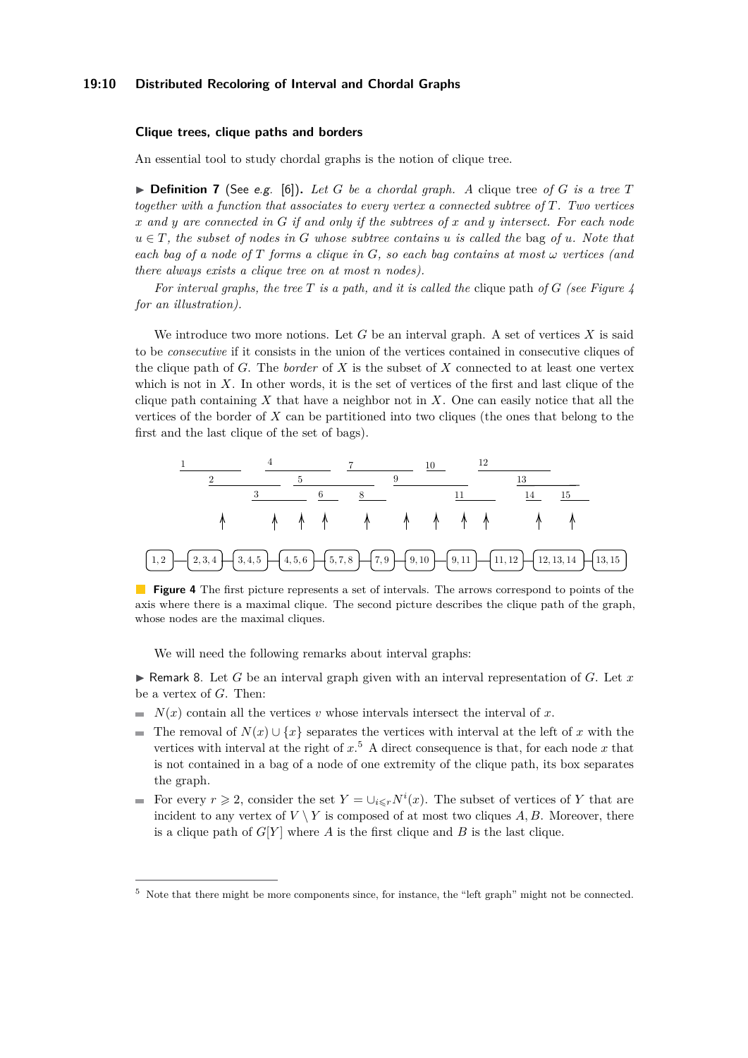#### **19:10 Distributed Recoloring of Interval and Chordal Graphs**

#### **Clique trees, clique paths and borders**

An essential tool to study chordal graphs is the notion of clique tree.

**• Definition 7** (See e.g. [\[6\]](#page-15-2)). Let G be a chordal graph. A clique tree of G is a tree T *together with a function that associates to every vertex a connected subtree of T. Two vertices x and y are connected in G if and only if the subtrees of x and y intersect. For each node*  $u \in T$ *, the subset of nodes in G whose subtree contains u is called the* bag *of u. Note that each bag of a node of*  $T$  *forms a clique in*  $G$ *, so each bag contains at most*  $\omega$  *vertices (and there always exists a clique tree on at most n nodes).*

*For interval graphs, the tree T is a path, and it is called the* clique path *of G (see Figure [4](#page-9-0) for an illustration).*

We introduce two more notions. Let *G* be an interval graph. A set of vertices *X* is said to be *consecutive* if it consists in the union of the vertices contained in consecutive cliques of the clique path of *G*. The *border* of *X* is the subset of *X* connected to at least one vertex which is not in *X*. In other words, it is the set of vertices of the first and last clique of the clique path containing *X* that have a neighbor not in *X*. One can easily notice that all the vertices of the border of *X* can be partitioned into two cliques (the ones that belong to the first and the last clique of the set of bags).

<span id="page-9-0"></span>

**Figure 4** The first picture represents a set of intervals. The arrows correspond to points of the axis where there is a maximal clique. The second picture describes the clique path of the graph, whose nodes are the maximal cliques.

We will need the following remarks about interval graphs:

 $\blacktriangleright$  Remark 8. Let *G* be an interval graph given with an interval representation of *G*. Let *x* be a vertex of *G*. Then:

- $N(x)$  contain all the vertices *v* whose intervals intersect the interval of *x*.
- The removal of  $N(x) \cup \{x\}$  separates the vertices with interval at the left of *x* with the vertices with interval at the right of *x*. [5](#page-9-1) A direct consequence is that, for each node *x* that is not contained in a bag of a node of one extremity of the clique path, its box separates the graph.
- For every  $r \geq 2$ , consider the set  $Y = \bigcup_{i \leq r} N^i(x)$ . The subset of vertices of Y that are incident to any vertex of  $V \setminus Y$  is composed of at most two cliques  $A, B$ . Moreover, there is a clique path of  $G[Y]$  where  $A$  is the first clique and  $B$  is the last clique.

<span id="page-9-1"></span><sup>5</sup> Note that there might be more components since, for instance, the "left graph" might not be connected.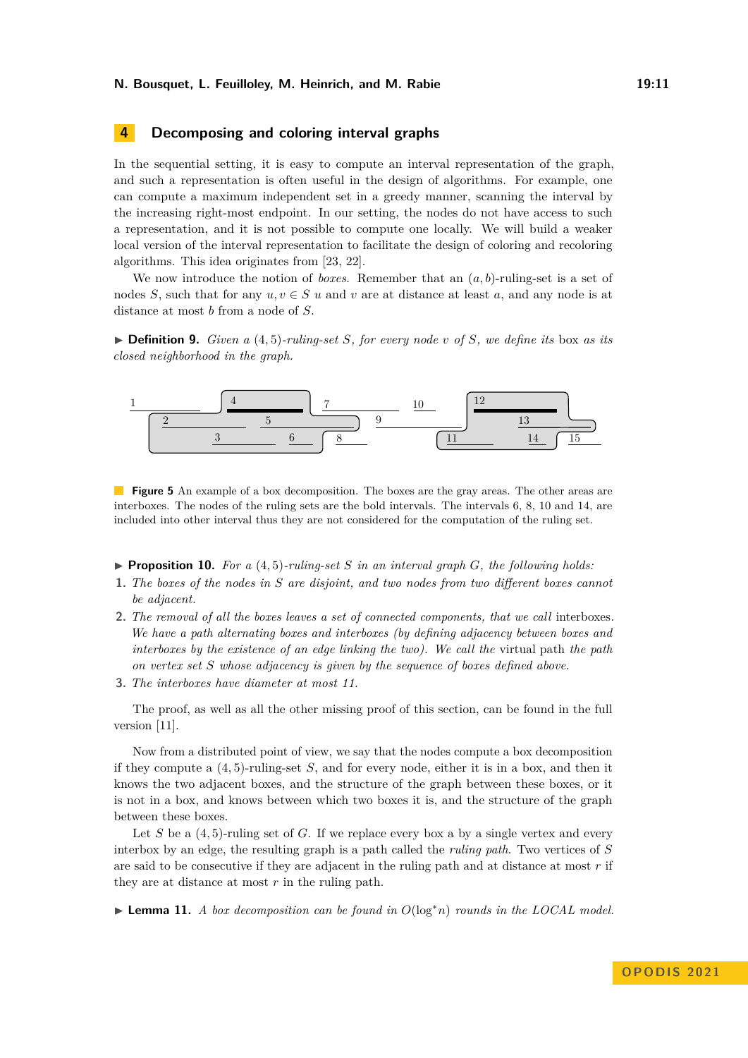# <span id="page-10-0"></span>**4 Decomposing and coloring interval graphs**

In the sequential setting, it is easy to compute an interval representation of the graph, and such a representation is often useful in the design of algorithms. For example, one can compute a maximum independent set in a greedy manner, scanning the interval by the increasing right-most endpoint. In our setting, the nodes do not have access to such a representation, and it is not possible to compute one locally. We will build a weaker local version of the interval representation to facilitate the design of coloring and recoloring algorithms. This idea originates from [\[23,](#page-16-4) [22\]](#page-16-12).

We now introduce the notion of *boxes*. Remember that an (*a, b*)-ruling-set is a set of nodes *S*, such that for any  $u, v \in S$  *u* and *v* are at distance at least *a*, and any node is at distance at most *b* from a node of *S*.

 $\triangleright$  **Definition 9.** *Given a* (4,5)*-ruling-set S, for every node v of S, we define its* box *as its closed neighborhood in the graph.*



**Figure 5** An example of a box decomposition. The boxes are the gray areas. The other areas are interboxes. The nodes of the ruling sets are the bold intervals. The intervals 6, 8, 10 and 14, are included into other interval thus they are not considered for the computation of the ruling set.

 $\triangleright$  **Proposition 10.** For a (4,5)-ruling-set *S* in an interval graph *G*, the following holds:

- **1.** *The boxes of the nodes in S are disjoint, and two nodes from two different boxes cannot be adjacent.*
- **2.** *The removal of all the boxes leaves a set of connected components, that we call* interboxes*. We have a path alternating boxes and interboxes (by defining adjacency between boxes and interboxes by the existence of an edge linking the two). We call the virtual path the path on vertex set S whose adjacency is given by the sequence of boxes defined above.*
- **3.** *The interboxes have diameter at most 11.*

The proof, as well as all the other missing proof of this section, can be found in the full version [\[11\]](#page-15-0).

Now from a distributed point of view, we say that the nodes compute a box decomposition if they compute a (4*,* 5)-ruling-set *S*, and for every node, either it is in a box, and then it knows the two adjacent boxes, and the structure of the graph between these boxes, or it is not in a box, and knows between which two boxes it is, and the structure of the graph between these boxes.

Let *S* be a  $(4,5)$ -ruling set of *G*. If we replace every box a by a single vertex and every interbox by an edge, the resulting graph is a path called the *ruling path*. Two vertices of *S* are said to be consecutive if they are adjacent in the ruling path and at distance at most *r* if they are at distance at most *r* in the ruling path.

<span id="page-10-1"></span>▶ **Lemma 11.** *A box decomposition can be found in O*(log<sup>∗</sup>*n*) *rounds in the LOCAL model.*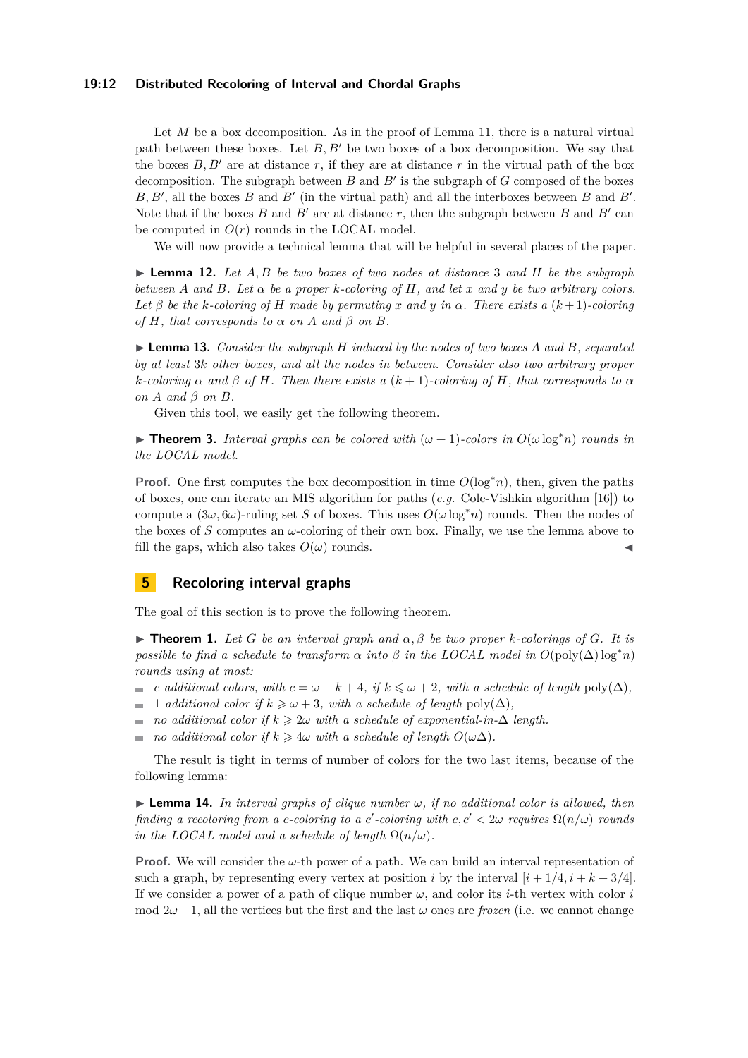#### **19:12 Distributed Recoloring of Interval and Chordal Graphs**

Let *M* be a box decomposition. As in the proof of Lemma [11,](#page-10-1) there is a natural virtual path between these boxes. Let *B, B*′ be two boxes of a box decomposition. We say that the boxes  $B, B'$  are at distance  $r$ , if they are at distance  $r$  in the virtual path of the box decomposition. The subgraph between *B* and *B*′ is the subgraph of *G* composed of the boxes *B, B*′ , all the boxes *B* and *B*′ (in the virtual path) and all the interboxes between *B* and *B*′ . Note that if the boxes  $B$  and  $B'$  are at distance  $r$ , then the subgraph between  $B$  and  $B'$  can be computed in  $O(r)$  rounds in the LOCAL model.

We will now provide a technical lemma that will be helpful in several places of the paper.

▶ **Lemma 12.** *Let A, B be two boxes of two nodes at distance* 3 *and H be the subgraph between*  $A$  *and*  $B$ *. Let*  $\alpha$  *be a proper k-coloring of*  $H$ *, and let*  $x$  *and*  $y$  *be two arbitrary colors. Let β be the k-coloring of H made by permuting x and y in α. There exists a* (*k* + 1)*-coloring*  $of$  *H, that corresponds to*  $\alpha$  *on*  $A$  *and*  $\beta$  *on*  $B$ *.* 

▶ **Lemma 13.** *Consider the subgraph H induced by the nodes of two boxes A and B, separated by at least* 3*k other boxes, and all the nodes in between. Consider also two arbitrary proper*  $k$ *-coloring*  $\alpha$  *and*  $\beta$  *of*  $H$ *. Then there exists*  $a(k+1)$ *-coloring of*  $H$ *, that corresponds to*  $\alpha$ *on A and β on B.*

Given this tool, we easily get the following theorem.

▶ **Theorem 3.** *Interval graphs can be colored with*  $(\omega + 1)$ *-colors in*  $O(\omega \log^* n)$  *rounds in the LOCAL model.*

**Proof.** One first computes the box decomposition in time *O*(log<sup>∗</sup>*n*), then, given the paths of boxes, one can iterate an MIS algorithm for paths (*e.g.* Cole-Vishkin algorithm [\[16\]](#page-16-21)) to compute a  $(3\omega, 6\omega)$ -ruling set *S* of boxes. This uses  $O(\omega \log^* n)$  rounds. Then the nodes of the boxes of *S* computes an *ω*-coloring of their own box. Finally, we use the lemma above to fill the gaps, which also takes  $O(\omega)$  rounds.

# <span id="page-11-1"></span>**5 Recoloring interval graphs**

The goal of this section is to prove the following theorem.

 $\triangleright$  **Theorem 1.** Let *G* be an interval graph and  $\alpha$ ,  $\beta$  be two proper *k*-colorings of *G*. It is *possible to find a schedule to transform*  $\alpha$  *into*  $\beta$  *in the LOCAL model in*  $O(\text{poly}(\Delta) \log^* n)$ *rounds using at most:*

- $\alpha$  *c additional colors, with*  $c = \omega k + 4$ *, if*  $k \leq \omega + 2$ *, with a schedule of length* poly( $\Delta$ )*,*
- 1 *additional color if*  $k \geq \omega + 3$ , with a schedule of length poly( $\Delta$ ),
- *no additional color if*  $k \geq 2\omega$  *with a schedule of exponential-in-* $\Delta$  *length.*  $\mathbf{r}$
- *no additional color if*  $k \geq 4\omega$  *with a schedule of length*  $O(\omega\Delta)$ *.*  $\blacksquare$

The result is tight in terms of number of colors for the two last items, because of the following lemma:

<span id="page-11-0"></span> $\blacktriangleright$  **Lemma 14.** In interval graphs of clique number  $\omega$ , if no additional color is allowed, then *finding a recoloring from a c-coloring to a c'-coloring with*  $c, c' < 2\omega$  *requires*  $\Omega(n/\omega)$  *rounds in the LOCAL model and a schedule of length*  $\Omega(n/\omega)$ *.* 

**Proof.** We will consider the *ω*-th power of a path. We can build an interval representation of such a graph, by representing every vertex at position *i* by the interval  $[i + 1/4, i + k + 3/4]$ . If we consider a power of a path of clique number  $\omega$ , and color its *i*-th vertex with color *i* mod  $2\omega - 1$ , all the vertices but the first and the last  $\omega$  ones are *frozen* (i.e. we cannot change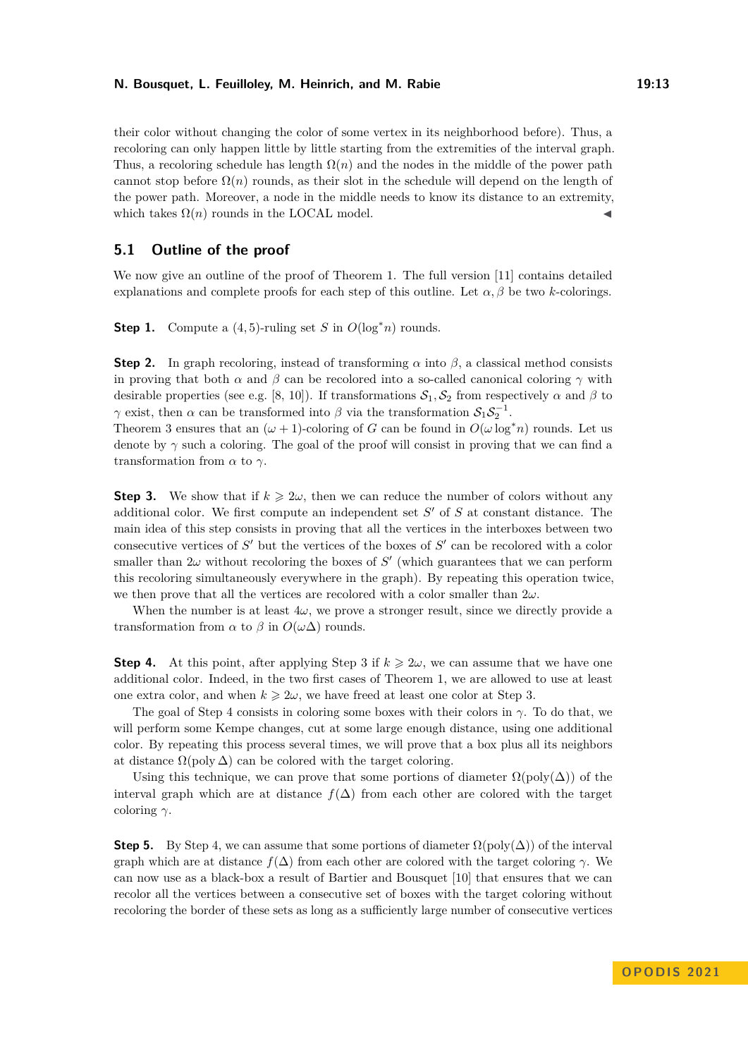their color without changing the color of some vertex in its neighborhood before). Thus, a recoloring can only happen little by little starting from the extremities of the interval graph. Thus, a recoloring schedule has length  $\Omega(n)$  and the nodes in the middle of the power path cannot stop before  $\Omega(n)$  rounds, as their slot in the schedule will depend on the length of the power path. Moreover, a node in the middle needs to know its distance to an extremity, which takes  $\Omega(n)$  rounds in the LOCAL model.

# **5.1 Outline of the proof**

We now give an outline of the proof of Theorem [1.](#page-3-0) The full version [\[11\]](#page-15-0) contains detailed explanations and complete proofs for each step of this outline. Let  $\alpha, \beta$  be two *k*-colorings.

**Step 1.** Compute a  $(4, 5)$ -ruling set *S* in  $O(\log^* n)$  rounds.

**Step 2.** In graph recoloring, instead of transforming  $\alpha$  into  $\beta$ , a classical method consists in proving that both  $\alpha$  and  $\beta$  can be recolored into a so-called canonical coloring  $\gamma$  with desirable properties (see e.g. [\[8,](#page-15-9) [10\]](#page-15-4)). If transformations  $S_1, S_2$  from respectively  $\alpha$  and  $\beta$  to *γ* exist, then *α* can be transformed into *β* via the transformation  $S_1S_2^{-1}$ .

Theorem [3](#page-4-1) ensures that an  $(\omega + 1)$ -coloring of *G* can be found in  $O(\omega \log^* n)$  rounds. Let us denote by  $\gamma$  such a coloring. The goal of the proof will consist in proving that we can find a transformation from *α* to *γ*.

**Step 3.** We show that if  $k \geq 2\omega$ , then we can reduce the number of colors without any additional color. We first compute an independent set *S* ′ of *S* at constant distance. The main idea of this step consists in proving that all the vertices in the interboxes between two consecutive vertices of *S'* but the vertices of the boxes of *S'* can be recolored with a color smaller than  $2\omega$  without recoloring the boxes of  $S'$  (which guarantees that we can perform this recoloring simultaneously everywhere in the graph). By repeating this operation twice, we then prove that all the vertices are recolored with a color smaller than 2*ω*.

When the number is at least  $4\omega$ , we prove a stronger result, since we directly provide a transformation from  $\alpha$  to  $\beta$  in  $O(\omega\Delta)$  rounds.

**Step 4.** At this point, after applying Step 3 if  $k \geq 2\omega$ , we can assume that we have one additional color. Indeed, in the two first cases of Theorem [1,](#page-3-0) we are allowed to use at least one extra color, and when  $k \geq 2\omega$ , we have freed at least one color at Step 3.

The goal of Step 4 consists in coloring some boxes with their colors in *γ*. To do that, we will perform some Kempe changes, cut at some large enough distance, using one additional color. By repeating this process several times, we will prove that a box plus all its neighbors at distance  $\Omega(\text{poly }\Delta)$  can be colored with the target coloring.

Using this technique, we can prove that some portions of diameter  $\Omega(\text{poly}(\Delta))$  of the interval graph which are at distance  $f(\Delta)$  from each other are colored with the target coloring *γ*.

**Step 5.** By Step 4, we can assume that some portions of diameter  $\Omega(\text{poly}(\Delta))$  of the interval graph which are at distance  $f(\Delta)$  from each other are colored with the target coloring  $\gamma$ . We can now use as a black-box a result of Bartier and Bousquet [\[10\]](#page-15-4) that ensures that we can recolor all the vertices between a consecutive set of boxes with the target coloring without recoloring the border of these sets as long as a sufficiently large number of consecutive vertices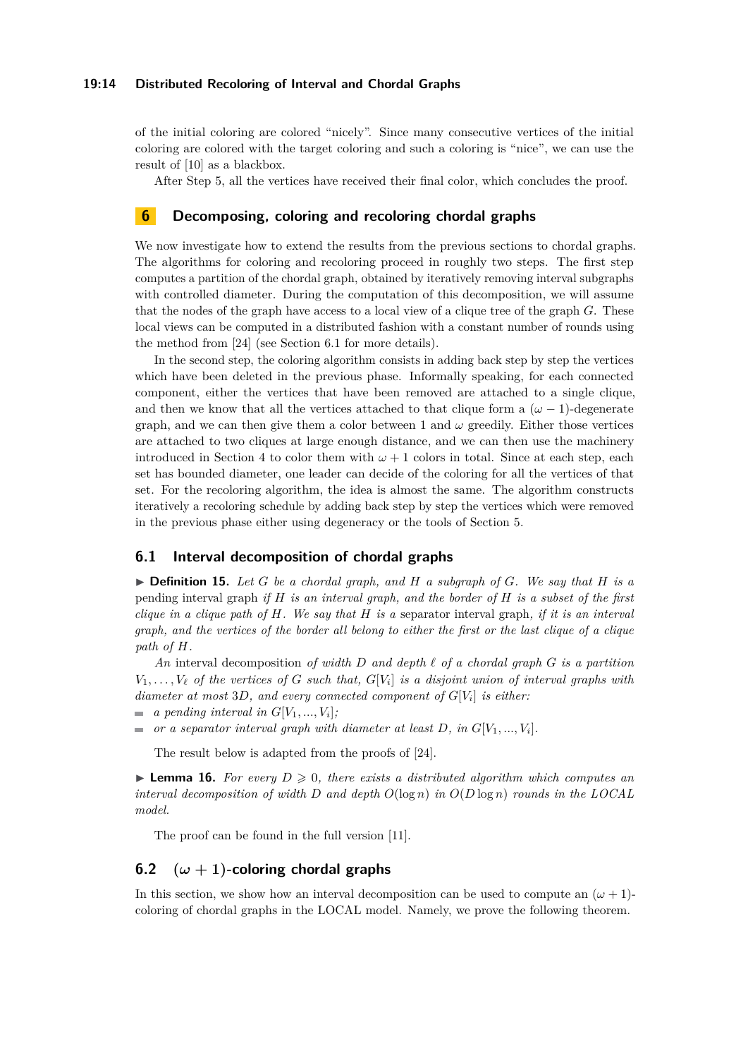#### **19:14 Distributed Recoloring of Interval and Chordal Graphs**

of the initial coloring are colored "nicely". Since many consecutive vertices of the initial coloring are colored with the target coloring and such a coloring is "nice", we can use the result of [\[10\]](#page-15-4) as a blackbox.

After Step 5, all the vertices have received their final color, which concludes the proof.

# <span id="page-13-0"></span>**6 Decomposing, coloring and recoloring chordal graphs**

We now investigate how to extend the results from the previous sections to chordal graphs. The algorithms for coloring and recoloring proceed in roughly two steps. The first step computes a partition of the chordal graph, obtained by iteratively removing interval subgraphs with controlled diameter. During the computation of this decomposition, we will assume that the nodes of the graph have access to a local view of a clique tree of the graph *G*. These local views can be computed in a distributed fashion with a constant number of rounds using the method from [\[24\]](#page-16-6) (see Section [6.1](#page-13-1) for more details).

In the second step, the coloring algorithm consists in adding back step by step the vertices which have been deleted in the previous phase. Informally speaking, for each connected component, either the vertices that have been removed are attached to a single clique, and then we know that all the vertices attached to that clique form a  $(\omega - 1)$ -degenerate graph, and we can then give them a color between 1 and  $\omega$  greedily. Either those vertices are attached to two cliques at large enough distance, and we can then use the machinery introduced in Section [4](#page-10-0) to color them with  $\omega + 1$  colors in total. Since at each step, each set has bounded diameter, one leader can decide of the coloring for all the vertices of that set. For the recoloring algorithm, the idea is almost the same. The algorithm constructs iteratively a recoloring schedule by adding back step by step the vertices which were removed in the previous phase either using degeneracy or the tools of Section [5.](#page-11-1)

## <span id="page-13-1"></span>**6.1 Interval decomposition of chordal graphs**

 $\triangleright$  **Definition 15.** Let G be a chordal graph, and H a subgraph of G. We say that H is a pending interval graph *if H is an interval graph, and the border of H is a subset of the first clique in a clique path of H. We say that H is a* separator interval graph*, if it is an interval graph, and the vertices of the border all belong to either the first or the last clique of a clique* path of  $H$ *.* 

*An* interval decomposition *of width D and depth ℓ of a chordal graph G is a partition*  $V_1, \ldots, V_\ell$  *of the vertices of G such that,*  $G[V_i]$  *is a disjoint union of interval graphs with diameter at most* 3*D, and every connected component of G*[*V<sup>i</sup>* ] *is either:*

- *a pending interval in*  $G[V_1, ..., V_i]$ ;
- *or a separator interval graph with diameter at least*  $D$ *, in*  $G[V_1, ..., V_i]$ *.*  $\blacksquare$

The result below is adapted from the proofs of [\[24\]](#page-16-6).

<span id="page-13-2"></span> $\triangleright$  **Lemma 16.** For every  $D \geq 0$ , there exists a distributed algorithm which computes an *interval decomposition of width*  $D$  *and depth*  $O(\log n)$  *in*  $O(D \log n)$  *rounds in the LOCAL model.*

The proof can be found in the full version [\[11\]](#page-15-0).

## **6.2**  $(\omega + 1)$ -coloring chordal graphs

In this section, we show how an interval decomposition can be used to compute an  $(\omega + 1)$ coloring of chordal graphs in the LOCAL model. Namely, we prove the following theorem.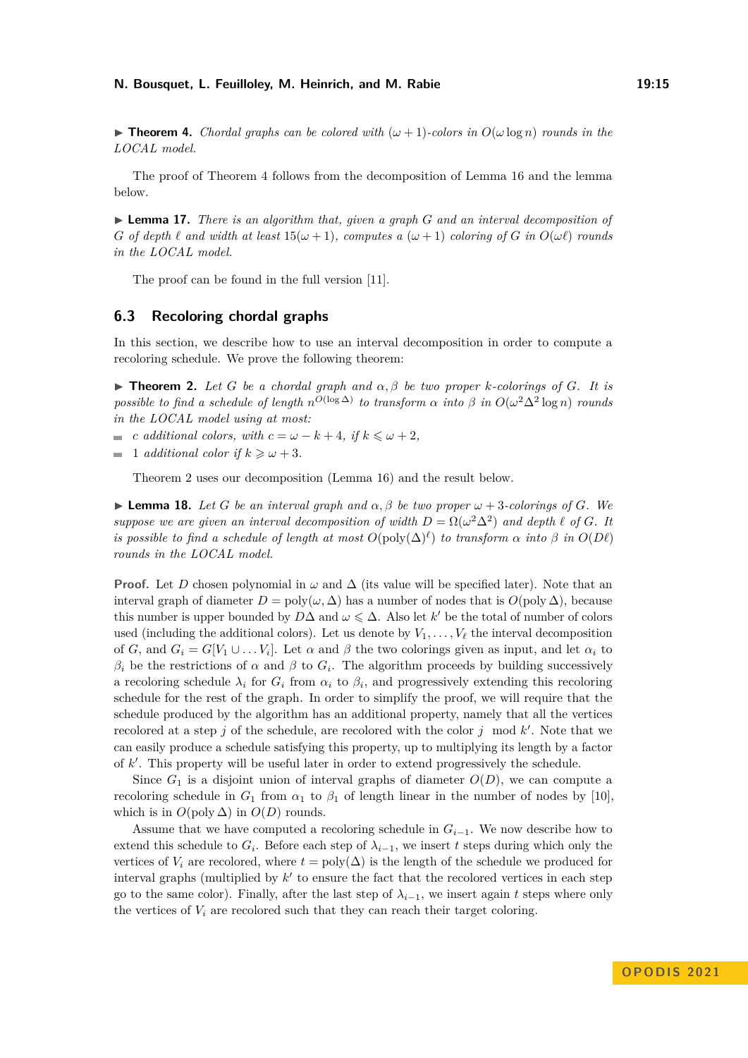$\triangleright$  **Theorem 4.** *Chordal graphs can be colored with*  $(\omega + 1)$ *-colors in*  $O(\omega \log n)$  *rounds in the LOCAL model.*

The proof of Theorem [4](#page-4-2) follows from the decomposition of Lemma [16](#page-13-2) and the lemma below.

▶ **Lemma 17.** *There is an algorithm that, given a graph G and an interval decomposition of G of depth*  $\ell$  *and width at least*  $15(\omega + 1)$ *, computes a*  $(\omega + 1)$  *coloring of G in*  $O(\omega \ell)$  *rounds in the LOCAL model.*

The proof can be found in the full version [\[11\]](#page-15-0).

## **6.3 Recoloring chordal graphs**

In this section, we describe how to use an interval decomposition in order to compute a recoloring schedule. We prove the following theorem:

 $\blacktriangleright$  **Theorem 2.** Let G be a chordal graph and  $\alpha, \beta$  be two proper *k*-colorings of G. It is *possible to find a schedule of length*  $n^{O(\log \Delta)}$  *to transform*  $\alpha$  *into*  $\beta$  *in*  $O(\omega^2 \Delta^2 \log n)$  *rounds in the LOCAL model using at most:*

*c additional colors, with*  $c = \omega - k + 4$ , if  $k \leq \omega + 2$ ,

1 *additional color if*  $k \geq \omega + 3$ .  $\sim$ 

Theorem [2](#page-3-2) uses our decomposition (Lemma [16\)](#page-13-2) and the result below.

 $\blacktriangleright$  **Lemma 18.** *Let G be an interval graph and*  $\alpha, \beta$  *be two proper*  $\omega + 3$ *-colorings of G. We suppose we are given an interval decomposition of width*  $D = \Omega(\omega^2 \Delta^2)$  *and depth*  $\ell$  *of*  $G$ *. It is possible to find a schedule of length at most*  $O(\text{poly}(\Delta)^{\ell})$  *to transform*  $\alpha$  *into*  $\beta$  *in*  $O(D\ell)$ *rounds in the LOCAL model.*

**Proof.** Let *D* chosen polynomial in  $\omega$  and  $\Delta$  (its value will be specified later). Note that an interval graph of diameter  $D = poly(\omega, \Delta)$  has a number of nodes that is  $O(\text{poly }\Delta)$ , because this number is upper bounded by  $D\Delta$  and  $\omega \leq \Delta$ . Also let *k'* be the total of number of colors used (including the additional colors). Let us denote by  $V_1, \ldots, V_\ell$  the interval decomposition of *G*, and  $G_i = G[V_1 \cup \ldots V_i]$ . Let  $\alpha$  and  $\beta$  the two colorings given as input, and let  $\alpha_i$  to  $β<sub>i</sub>$  be the restrictions of *α* and *β* to  $G<sub>i</sub>$ . The algorithm proceeds by building successively a recoloring schedule  $\lambda_i$  for  $G_i$  from  $\alpha_i$  to  $\beta_i$ , and progressively extending this recoloring schedule for the rest of the graph. In order to simplify the proof, we will require that the schedule produced by the algorithm has an additional property, namely that all the vertices recolored at a step *j* of the schedule, are recolored with the color *j* mod *k* ′ . Note that we can easily produce a schedule satisfying this property, up to multiplying its length by a factor of *k* ′ . This property will be useful later in order to extend progressively the schedule.

Since  $G_1$  is a disjoint union of interval graphs of diameter  $O(D)$ , we can compute a recoloring schedule in  $G_1$  from  $\alpha_1$  to  $\beta_1$  of length linear in the number of nodes by [\[10\]](#page-15-4), which is in  $O(poly \Delta)$  in  $O(D)$  rounds.

Assume that we have computed a recoloring schedule in *Gi*−1. We now describe how to extend this schedule to  $G_i$ . Before each step of  $\lambda_{i-1}$ , we insert t steps during which only the vertices of  $V_i$  are recolored, where  $t = \text{poly}(\Delta)$  is the length of the schedule we produced for interval graphs (multiplied by *k* ′ to ensure the fact that the recolored vertices in each step go to the same color). Finally, after the last step of  $\lambda_{i-1}$ , we insert again *t* steps where only the vertices of  $V_i$  are recolored such that they can reach their target coloring.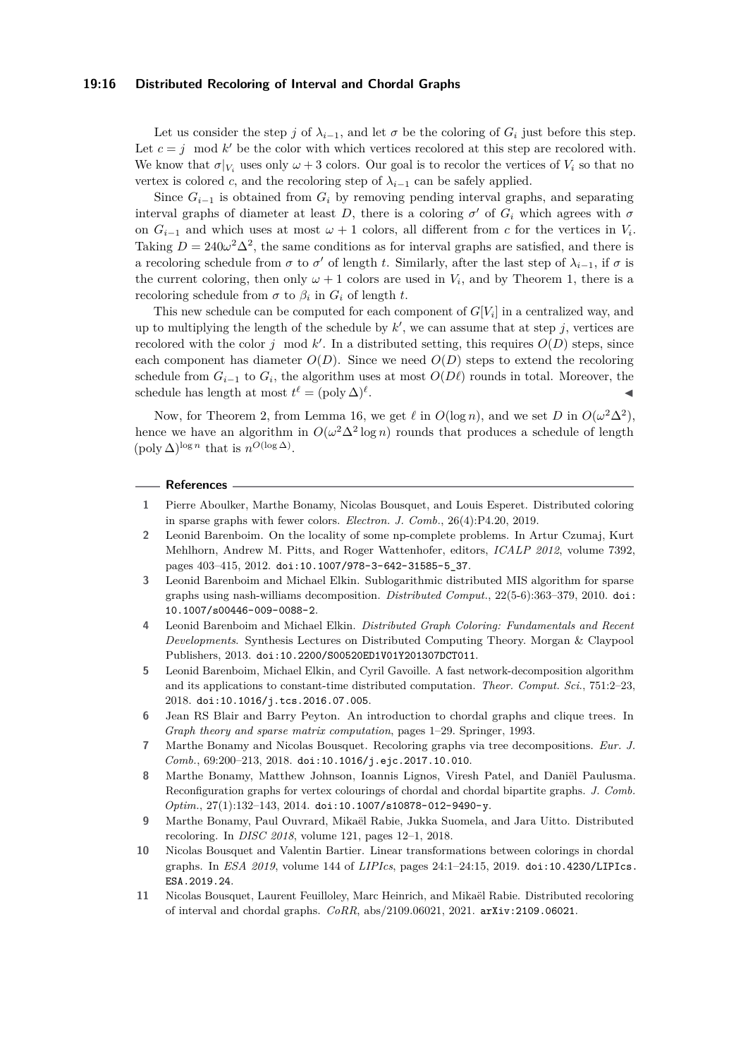#### **19:16 Distributed Recoloring of Interval and Chordal Graphs**

Let us consider the step *j* of  $\lambda_{i-1}$ , and let  $\sigma$  be the coloring of  $G_i$  just before this step. Let  $c = j \mod k'$  be the color with which vertices recolored at this step are recolored with. We know that  $\sigma|_{V_i}$  uses only  $\omega + 3$  colors. Our goal is to recolor the vertices of  $V_i$  so that no vertex is colored *c*, and the recoloring step of  $\lambda_{i-1}$  can be safely applied.

Since  $G_{i-1}$  is obtained from  $G_i$  by removing pending interval graphs, and separating interval graphs of diameter at least *D*, there is a coloring  $\sigma'$  of  $G_i$  which agrees with  $\sigma$ on  $G_{i-1}$  and which uses at most  $\omega + 1$  colors, all different from *c* for the vertices in  $V_i$ . Taking  $D = 240\omega^2\Delta^2$ , the same conditions as for interval graphs are satisfied, and there is a recoloring schedule from  $\sigma$  to  $\sigma'$  of length *t*. Similarly, after the last step of  $\lambda_{i-1}$ , if  $\sigma$  is the current coloring, then only  $\omega + 1$  colors are used in  $V_i$ , and by Theorem [1,](#page-3-0) there is a recoloring schedule from  $\sigma$  to  $\beta_i$  in  $G_i$  of length *t*.

This new schedule can be computed for each component of  $G[V_i]$  in a centralized way, and up to multiplying the length of the schedule by  $k'$ , we can assume that at step  $j$ , vertices are recolored with the color  $j \mod k'$ . In a distributed setting, this requires  $O(D)$  steps, since each component has diameter  $O(D)$ . Since we need  $O(D)$  steps to extend the recoloring schedule from  $G_{i-1}$  to  $G_i$ , the algorithm uses at most  $O(D\ell)$  rounds in total. Moreover, the schedule has length at most  $t^{\ell} = (\text{poly }\Delta)^{\ell}$ . ◀

Now, for Theorem [2,](#page-3-2) from Lemma [16,](#page-13-2) we get  $\ell$  in  $O(\log n)$ , and we set *D* in  $O(\omega^2 \Delta^2)$ , hence we have an algorithm in  $O(\omega^2 \Delta^2 \log n)$  rounds that produces a schedule of length  $(\text{poly }\Delta)^{\log n}$  that is  $n^{O(\log \Delta)}$ .

#### **References**

- <span id="page-15-7"></span>**1** Pierre Aboulker, Marthe Bonamy, Nicolas Bousquet, and Louis Esperet. Distributed coloring in sparse graphs with fewer colors. *Electron. J. Comb.*, 26(4):P4.20, 2019.
- <span id="page-15-5"></span>**2** Leonid Barenboim. On the locality of some np-complete problems. In Artur Czumaj, Kurt Mehlhorn, Andrew M. Pitts, and Roger Wattenhofer, editors, *ICALP 2012*, volume 7392, pages 403–415, 2012. [doi:10.1007/978-3-642-31585-5\\_37](https://doi.org/10.1007/978-3-642-31585-5_37).
- <span id="page-15-8"></span>**3** Leonid Barenboim and Michael Elkin. Sublogarithmic distributed MIS algorithm for sparse graphs using nash-williams decomposition. *Distributed Comput.*, 22(5-6):363–379, 2010. [doi:](https://doi.org/10.1007/s00446-009-0088-2) [10.1007/s00446-009-0088-2](https://doi.org/10.1007/s00446-009-0088-2).
- <span id="page-15-1"></span>**4** Leonid Barenboim and Michael Elkin. *Distributed Graph Coloring: Fundamentals and Recent Developments*. Synthesis Lectures on Distributed Computing Theory. Morgan & Claypool Publishers, 2013. [doi:10.2200/S00520ED1V01Y201307DCT011](https://doi.org/10.2200/S00520ED1V01Y201307DCT011).
- <span id="page-15-6"></span>**5** Leonid Barenboim, Michael Elkin, and Cyril Gavoille. A fast network-decomposition algorithm and its applications to constant-time distributed computation. *Theor. Comput. Sci.*, 751:2–23, 2018. [doi:10.1016/j.tcs.2016.07.005](https://doi.org/10.1016/j.tcs.2016.07.005).
- <span id="page-15-2"></span>**6** Jean RS Blair and Barry Peyton. An introduction to chordal graphs and clique trees. In *Graph theory and sparse matrix computation*, pages 1–29. Springer, 1993.
- <span id="page-15-10"></span>**7** Marthe Bonamy and Nicolas Bousquet. Recoloring graphs via tree decompositions. *Eur. J. Comb.*, 69:200–213, 2018. [doi:10.1016/j.ejc.2017.10.010](https://doi.org/10.1016/j.ejc.2017.10.010).
- <span id="page-15-9"></span>**8** Marthe Bonamy, Matthew Johnson, Ioannis Lignos, Viresh Patel, and Daniël Paulusma. Reconfiguration graphs for vertex colourings of chordal and chordal bipartite graphs. *J. Comb. Optim.*, 27(1):132–143, 2014. [doi:10.1007/s10878-012-9490-y](https://doi.org/10.1007/s10878-012-9490-y).
- <span id="page-15-3"></span>**9** Marthe Bonamy, Paul Ouvrard, Mikaël Rabie, Jukka Suomela, and Jara Uitto. Distributed recoloring. In *DISC 2018*, volume 121, pages 12–1, 2018.
- <span id="page-15-4"></span>**10** Nicolas Bousquet and Valentin Bartier. Linear transformations between colorings in chordal graphs. In *ESA 2019*, volume 144 of *LIPIcs*, pages 24:1–24:15, 2019. [doi:10.4230/LIPIcs.](https://doi.org/10.4230/LIPIcs.ESA.2019.24) [ESA.2019.24](https://doi.org/10.4230/LIPIcs.ESA.2019.24).
- <span id="page-15-0"></span>**11** Nicolas Bousquet, Laurent Feuilloley, Marc Heinrich, and Mikaël Rabie. Distributed recoloring of interval and chordal graphs. *CoRR*, abs/2109.06021, 2021. [arXiv:2109.06021](http://arxiv.org/abs/2109.06021).